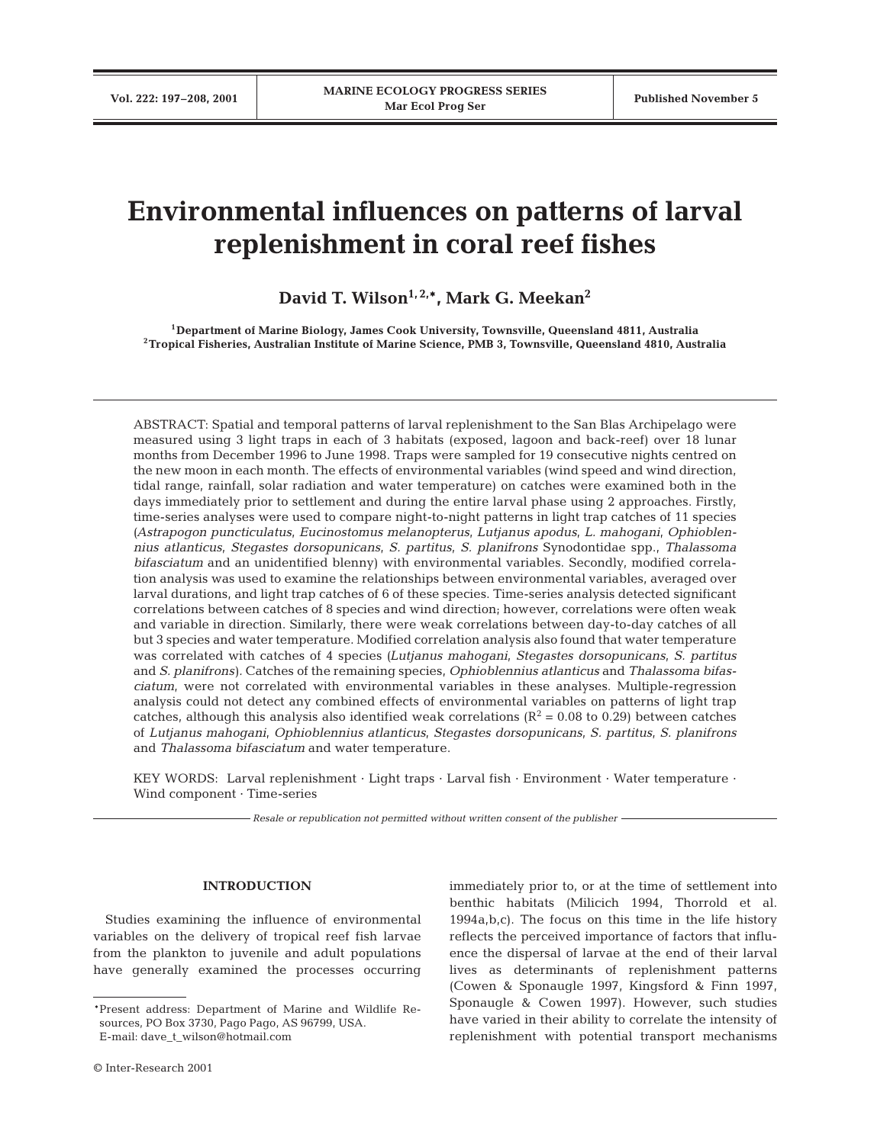# **Environmental influences on patterns of larval replenishment in coral reef fishes**

David T. Wilson<sup>1, 2,\*</sup>, Mark G. Meekan<sup>2</sup>

**1Department of Marine Biology, James Cook University, Townsville, Queensland 4811, Australia 2Tropical Fisheries, Australian Institute of Marine Science, PMB 3, Townsville, Queensland 4810, Australia**

ABSTRACT: Spatial and temporal patterns of larval replenishment to the San Blas Archipelago were measured using 3 light traps in each of 3 habitats (exposed, lagoon and back-reef) over 18 lunar months from December 1996 to June 1998. Traps were sampled for 19 consecutive nights centred on the new moon in each month. The effects of environmental variables (wind speed and wind direction, tidal range, rainfall, solar radiation and water temperature) on catches were examined both in the days immediately prior to settlement and during the entire larval phase using 2 approaches. Firstly, time-series analyses were used to compare night-to-night patterns in light trap catches of 11 species *(Astrapogon puncticulatus, Eucinostomus melanopterus, Lutjanus apodus, L. mahogani, Ophioblennius atlanticus, Stegastes dorsopunicans, S. partitus, S. planifrons* Synodontidae spp., *Thalassoma bifasciatum* and an unidentified blenny) with environmental variables. Secondly, modified correlation analysis was used to examine the relationships between environmental variables, averaged over larval durations, and light trap catches of 6 of these species. Time-series analysis detected significant correlations between catches of 8 species and wind direction; however, correlations were often weak and variable in direction. Similarly, there were weak correlations between day-to-day catches of all but 3 species and water temperature. Modified correlation analysis also found that water temperature was correlated with catches of 4 species *(Lutjanus mahogani, Stegastes dorsopunicans, S. partitus* and *S. planifrons).* Catches of the remaining species, *Ophioblennius atlanticus* and *Thalassoma bifasciatum,* were not correlated with environmental variables in these analyses. Multiple-regression analysis could not detect any combined effects of environmental variables on patterns of light trap catches, although this analysis also identified weak correlations ( $R^2 = 0.08$  to 0.29) between catches of *Lutjanus mahogani, Ophioblennius atlanticus, Stegastes dorsopunicans, S. partitus*, *S. planifrons* and *Thalassoma bifasciatum* and water temperature.

KEY WORDS: Larval replenishment · Light traps · Larval fish · Environment · Water temperature · Wind component · Time-series

*Resale or republication not permitted without written consent of the publisher*

#### **INTRODUCTION**

Studies examining the influence of environmental variables on the delivery of tropical reef fish larvae from the plankton to juvenile and adult populations have generally examined the processes occurring immediately prior to, or at the time of settlement into benthic habitats (Milicich 1994, Thorrold et al. 1994a,b,c). The focus on this time in the life history reflects the perceived importance of factors that influence the dispersal of larvae at the end of their larval lives as determinants of replenishment patterns (Cowen & Sponaugle 1997, Kingsford & Finn 1997, Sponaugle & Cowen 1997). However, such studies have varied in their ability to correlate the intensity of replenishment with potential transport mechanisms

<sup>\*</sup>Present address: Department of Marine and Wildlife Resources, PO Box 3730, Pago Pago, AS 96799, USA. E-mail: dave\_t\_wilson@hotmail.com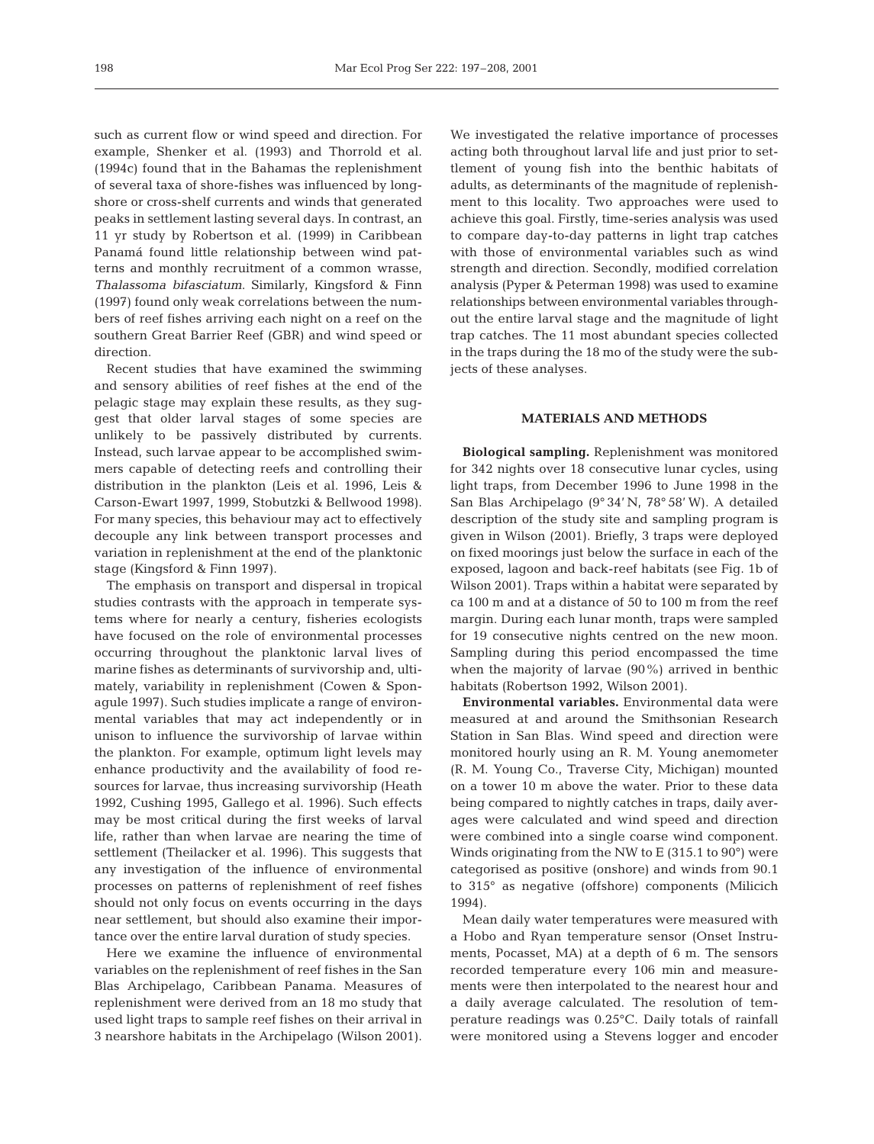such as current flow or wind speed and direction. For example, Shenker et al. (1993) and Thorrold et al. (1994c) found that in the Bahamas the replenishment of several taxa of shore-fishes was influenced by longshore or cross-shelf currents and winds that generated peaks in settlement lasting several days. In contrast, an 11 yr study by Robertson et al. (1999) in Caribbean Panamá found little relationship between wind patterns and monthly recruitment of a common wrasse, *Thalassoma bifasciatum*. Similarly, Kingsford & Finn (1997) found only weak correlations between the numbers of reef fishes arriving each night on a reef on the southern Great Barrier Reef (GBR) and wind speed or direction.

Recent studies that have examined the swimming and sensory abilities of reef fishes at the end of the pelagic stage may explain these results, as they suggest that older larval stages of some species are unlikely to be passively distributed by currents. Instead, such larvae appear to be accomplished swimmers capable of detecting reefs and controlling their distribution in the plankton (Leis et al. 1996, Leis & Carson-Ewart 1997, 1999, Stobutzki & Bellwood 1998). For many species, this behaviour may act to effectively decouple any link between transport processes and variation in replenishment at the end of the planktonic stage (Kingsford & Finn 1997).

The emphasis on transport and dispersal in tropical studies contrasts with the approach in temperate systems where for nearly a century, fisheries ecologists have focused on the role of environmental processes occurring throughout the planktonic larval lives of marine fishes as determinants of survivorship and, ultimately, variability in replenishment (Cowen & Sponagule 1997). Such studies implicate a range of environmental variables that may act independently or in unison to influence the survivorship of larvae within the plankton. For example, optimum light levels may enhance productivity and the availability of food resources for larvae, thus increasing survivorship (Heath 1992, Cushing 1995, Gallego et al. 1996). Such effects may be most critical during the first weeks of larval life, rather than when larvae are nearing the time of settlement (Theilacker et al. 1996). This suggests that any investigation of the influence of environmental processes on patterns of replenishment of reef fishes should not only focus on events occurring in the days near settlement, but should also examine their importance over the entire larval duration of study species.

Here we examine the influence of environmental variables on the replenishment of reef fishes in the San Blas Archipelago, Caribbean Panama. Measures of replenishment were derived from an 18 mo study that used light traps to sample reef fishes on their arrival in 3 nearshore habitats in the Archipelago (Wilson 2001).

We investigated the relative importance of processes acting both throughout larval life and just prior to settlement of young fish into the benthic habitats of adults, as determinants of the magnitude of replenishment to this locality. Two approaches were used to achieve this goal. Firstly, time-series analysis was used to compare day-to-day patterns in light trap catches with those of environmental variables such as wind strength and direction. Secondly, modified correlation analysis (Pyper & Peterman 1998) was used to examine relationships between environmental variables throughout the entire larval stage and the magnitude of light trap catches. The 11 most abundant species collected in the traps during the 18 mo of the study were the subjects of these analyses.

### **MATERIALS AND METHODS**

**Biological sampling.** Replenishment was monitored for 342 nights over 18 consecutive lunar cycles, using light traps, from December 1996 to June 1998 in the San Blas Archipelago (9° 34' N, 78° 58' W). A detailed description of the study site and sampling program is given in Wilson (2001). Briefly, 3 traps were deployed on fixed moorings just below the surface in each of the exposed, lagoon and back-reef habitats (see Fig. 1b of Wilson 2001). Traps within a habitat were separated by ca 100 m and at a distance of 50 to 100 m from the reef margin. During each lunar month, traps were sampled for 19 consecutive nights centred on the new moon. Sampling during this period encompassed the time when the majority of larvae (90%) arrived in benthic habitats (Robertson 1992, Wilson 2001).

**Environmental variables.** Environmental data were measured at and around the Smithsonian Research Station in San Blas. Wind speed and direction were monitored hourly using an R. M. Young anemometer (R. M. Young Co., Traverse City, Michigan) mounted on a tower 10 m above the water. Prior to these data being compared to nightly catches in traps, daily averages were calculated and wind speed and direction were combined into a single coarse wind component. Winds originating from the NW to E (315.1 to 90°) were categorised as positive (onshore) and winds from 90.1 to 315° as negative (offshore) components (Milicich 1994).

Mean daily water temperatures were measured with a Hobo and Ryan temperature sensor (Onset Instruments, Pocasset, MA) at a depth of 6 m. The sensors recorded temperature every 106 min and measurements were then interpolated to the nearest hour and a daily average calculated. The resolution of temperature readings was 0.25°C. Daily totals of rainfall were monitored using a Stevens logger and encoder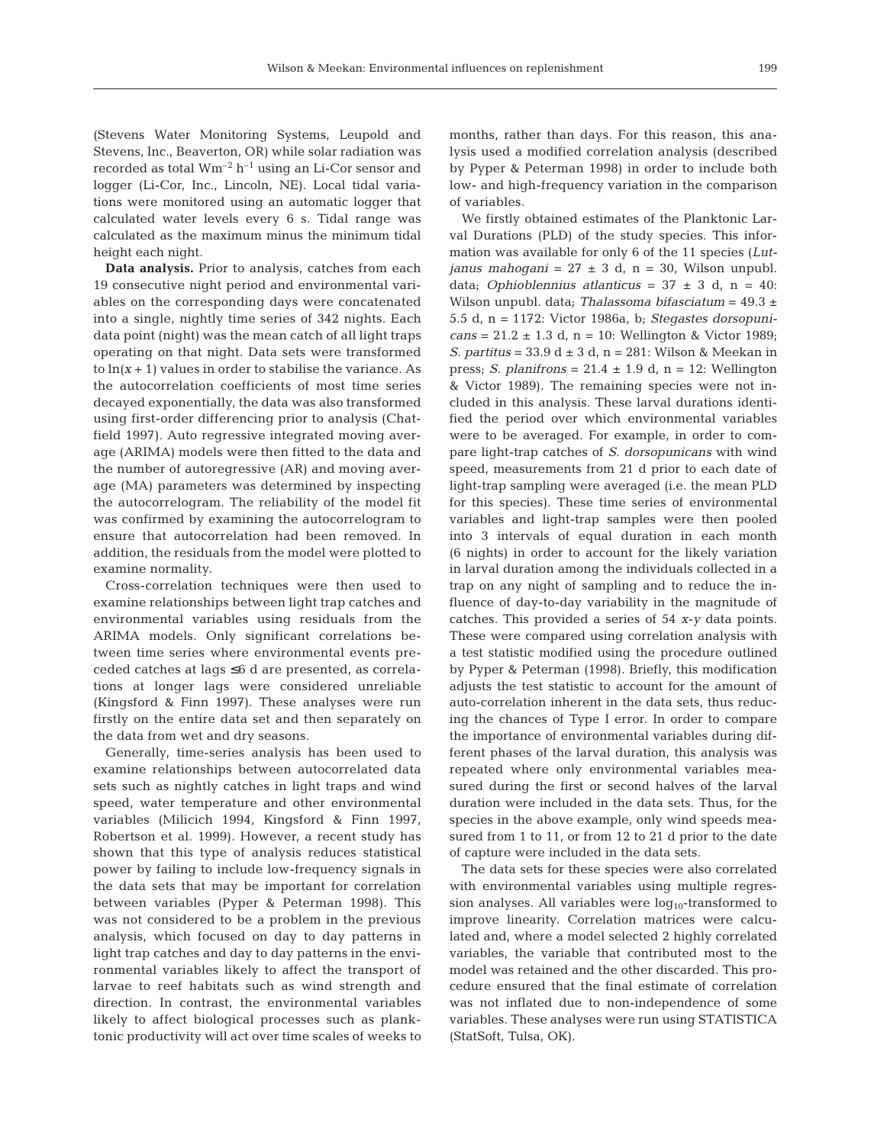(Stevens Water Monitoring Systems, Leupold and Stevens, Inc., Beaverton, OR) while solar radiation was recorded as total  $Wm^{-2} h^{-1}$  using an Li-Cor sensor and logger (Li-Cor, Inc., Lincoln, NE). Local tidal variations were monitored using an automatic logger that calculated water levels every 6 s. Tidal range was calculated as the maximum minus the minimum tidal height each night.

**Data analysis.** Prior to analysis, catches from each 19 consecutive night period and environmental variables on the corresponding days were concatenated into a single, nightly time series of 342 nights. Each data point (night) was the mean catch of all light traps operating on that night. Data sets were transformed to  $ln(x + 1)$  values in order to stabilise the variance. As the autocorrelation coefficients of most time series decayed exponentially, the data was also transformed using first-order differencing prior to analysis (Chatfield 1997). Auto regressive integrated moving average (ARIMA) models were then fitted to the data and the number of autoregressive (AR) and moving average (MA) parameters was determined by inspecting the autocorrelogram. The reliability of the model fit was confirmed by examining the autocorrelogram to ensure that autocorrelation had been removed. In addition, the residuals from the model were plotted to examine normality.

Cross-correlation techniques were then used to examine relationships between light trap catches and environmental variables using residuals from the ARIMA models. Only significant correlations between time series where environmental events preceded catches at lags ≤6 d are presented, as correlations at longer lags were considered unreliable (Kingsford & Finn 1997). These analyses were run firstly on the entire data set and then separately on the data from wet and dry seasons.

Generally, time-series analysis has been used to examine relationships between autocorrelated data sets such as nightly catches in light traps and wind speed, water temperature and other environmental variables (Milicich 1994, Kingsford & Finn 1997, Robertson et al. 1999). However, a recent study has shown that this type of analysis reduces statistical power by failing to include low-frequency signals in the data sets that may be important for correlation between variables (Pyper & Peterman 1998). This was not considered to be a problem in the previous analysis, which focused on day to day patterns in light trap catches and day to day patterns in the environmental variables likely to affect the transport of larvae to reef habitats such as wind strength and direction. In contrast, the environmental variables likely to affect biological processes such as planktonic productivity will act over time scales of weeks to

months, rather than days. For this reason, this analysis used a modified correlation analysis (described by Pyper & Peterman 1998) in order to include both low- and high-frequency variation in the comparison of variables.

We firstly obtained estimates of the Planktonic Larval Durations (PLD) of the study species. This information was available for only 6 of the 11 species (*Lut* $janus mahogani = 27 \pm 3 d$ ,  $n = 30$ , Wilson unpubl. data; *Ophioblennius atlanticus* =  $37 \pm 3$  d, n =  $40$ : Wilson unpubl. data; *Thalassoma bifasciatum* = 49.3 ± 5.5 d, n = 1172: Victor 1986a, b; *Stegastes dorsopunicans* = 21.2 ± 1.3 d, n = 10: Wellington & Victor 1989; *S. partitus* = 33.9 d ± 3 d, n = 281: Wilson & Meekan in press; *S. planifrons* =  $21.4 \pm 1.9$  d, n = 12: Wellington & Victor 1989). The remaining species were not included in this analysis. These larval durations identified the period over which environmental variables were to be averaged. For example, in order to compare light-trap catches of *S. dorsopunicans* with wind speed, measurements from 21 d prior to each date of light-trap sampling were averaged (i.e. the mean PLD for this species). These time series of environmental variables and light-trap samples were then pooled into 3 intervals of equal duration in each month (6 nights) in order to account for the likely variation in larval duration among the individuals collected in a trap on any night of sampling and to reduce the influence of day-to-day variability in the magnitude of catches. This provided a series of 54 *x*-*y* data points. These were compared using correlation analysis with a test statistic modified using the procedure outlined by Pyper & Peterman (1998). Briefly, this modification adjusts the test statistic to account for the amount of auto-correlation inherent in the data sets, thus reducing the chances of Type I error. In order to compare the importance of environmental variables during different phases of the larval duration, this analysis was repeated where only environmental variables measured during the first or second halves of the larval duration were included in the data sets. Thus, for the species in the above example, only wind speeds measured from 1 to 11, or from 12 to 21 d prior to the date of capture were included in the data sets.

The data sets for these species were also correlated with environmental variables using multiple regression analyses. All variables were  $log_{10}$ -transformed to improve linearity. Correlation matrices were calculated and, where a model selected 2 highly correlated variables, the variable that contributed most to the model was retained and the other discarded. This procedure ensured that the final estimate of correlation was not inflated due to non-independence of some variables. These analyses were run using STATISTICA (StatSoft, Tulsa, OK).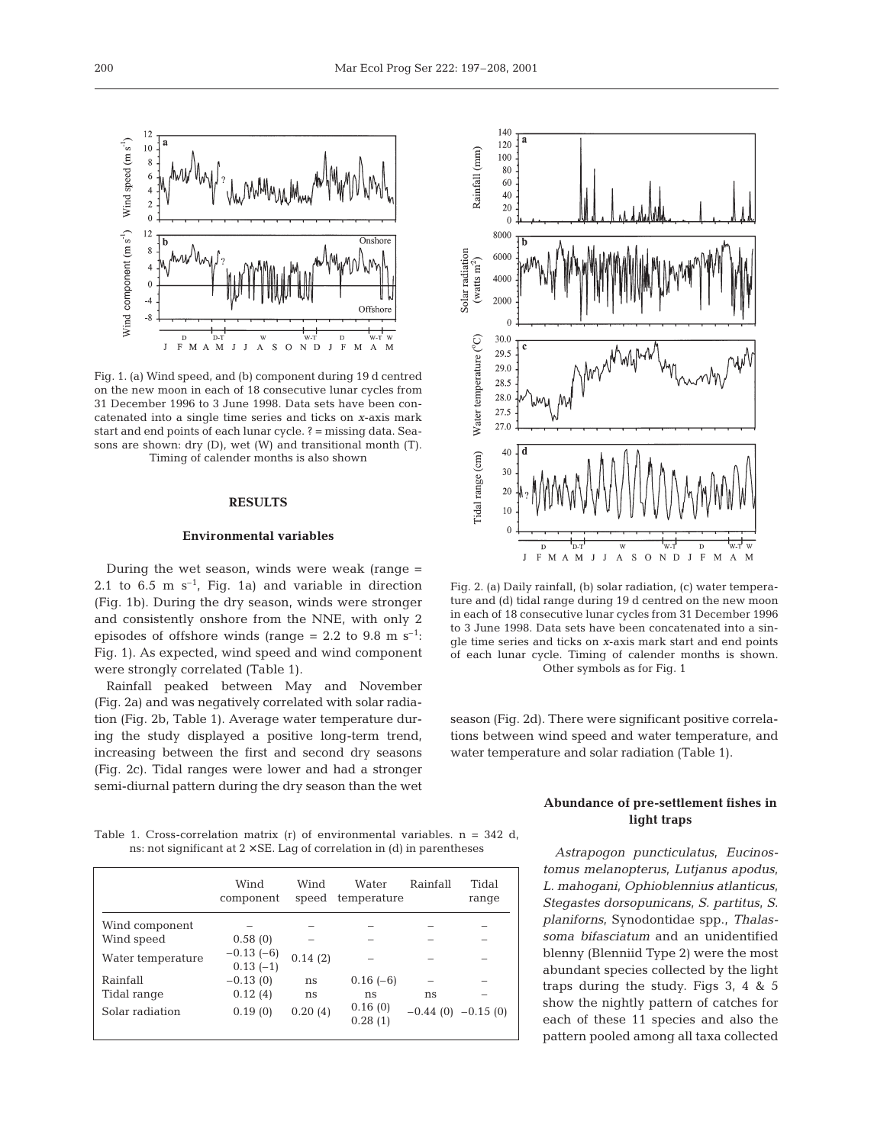

Fig. 1. (a) Wind speed, and (b) component during 19 d centred on the new moon in each of 18 consecutive lunar cycles from 31 December 1996 to 3 June 1998. Data sets have been concatenated into a single time series and ticks on *x*-axis mark start and end points of each lunar cycle. ? = missing data. Seasons are shown: dry (D), wet (W) and transitional month (T). Timing of calender months is also shown

#### **RESULTS**

#### **Environmental variables**

During the wet season, winds were weak (range = 2.1 to 6.5 m  $s^{-1}$ , Fig. 1a) and variable in direction (Fig. 1b). During the dry season, winds were stronger and consistently onshore from the NNE, with only 2 episodes of offshore winds (range = 2.2 to 9.8 m s<sup>-1</sup>: Fig. 1). As expected, wind speed and wind component were strongly correlated (Table 1).

Rainfall peaked between May and November (Fig. 2a) and was negatively correlated with solar radiation (Fig. 2b, Table 1). Average water temperature during the study displayed a positive long-term trend, increasing between the first and second dry seasons (Fig. 2c). Tidal ranges were lower and had a stronger semi-diurnal pattern during the dry season than the wet



Fig. 2. (a) Daily rainfall, (b) solar radiation, (c) water temperature and (d) tidal range during 19 d centred on the new moon in each of 18 consecutive lunar cycles from 31 December 1996 to 3 June 1998. Data sets have been concatenated into a single time series and ticks on *x*-axis mark start and end points of each lunar cycle. Timing of calender months is shown. Other symbols as for Fig. 1

season (Fig. 2d). There were significant positive correlations between wind speed and water temperature, and water temperature and solar radiation (Table 1).

Table 1. Cross-correlation matrix (r) of environmental variables.  $n = 342$  d, ns: not significant at  $2 \times SE$ . Lag of correlation in (d) in parentheses

|                   | Wind<br>component         | Wind<br>speed | Water<br>temperature | Rainfall | Tidal<br>range        |
|-------------------|---------------------------|---------------|----------------------|----------|-----------------------|
| Wind component    |                           |               |                      |          |                       |
| Wind speed        | 0.58(0)                   |               |                      |          |                       |
| Water temperature | $-0.13(-6)$<br>$0.13(-1)$ | 0.14(2)       |                      |          |                       |
| Rainfall          | $-0.13(0)$                | ns            | $0.16(-6)$           |          |                       |
| Tidal range       | 0.12(4)                   | ns            | ns                   | ns       |                       |
| Solar radiation   | 0.19(0)                   | 0.20(4)       | 0.16(0)<br>0.28(1)   |          | $-0.44(0)$ $-0.15(0)$ |

## **Abundance of pre-settlement fishes in light traps**

*Astrapogon puncticulatus*, *Eucinostomus melanopterus*, *Lutjanus apodus*, *L. mahogani*, *Ophioblennius atlanticus*, *Stegastes dorsopunicans*, *S. partitus*, *S. planiforns*, Synodontidae spp., *Thalassoma bifasciatum* and an unidentified blenny (Blenniid Type 2) were the most abundant species collected by the light traps during the study. Figs 3, 4 & 5 show the nightly pattern of catches for each of these 11 species and also the pattern pooled among all taxa collected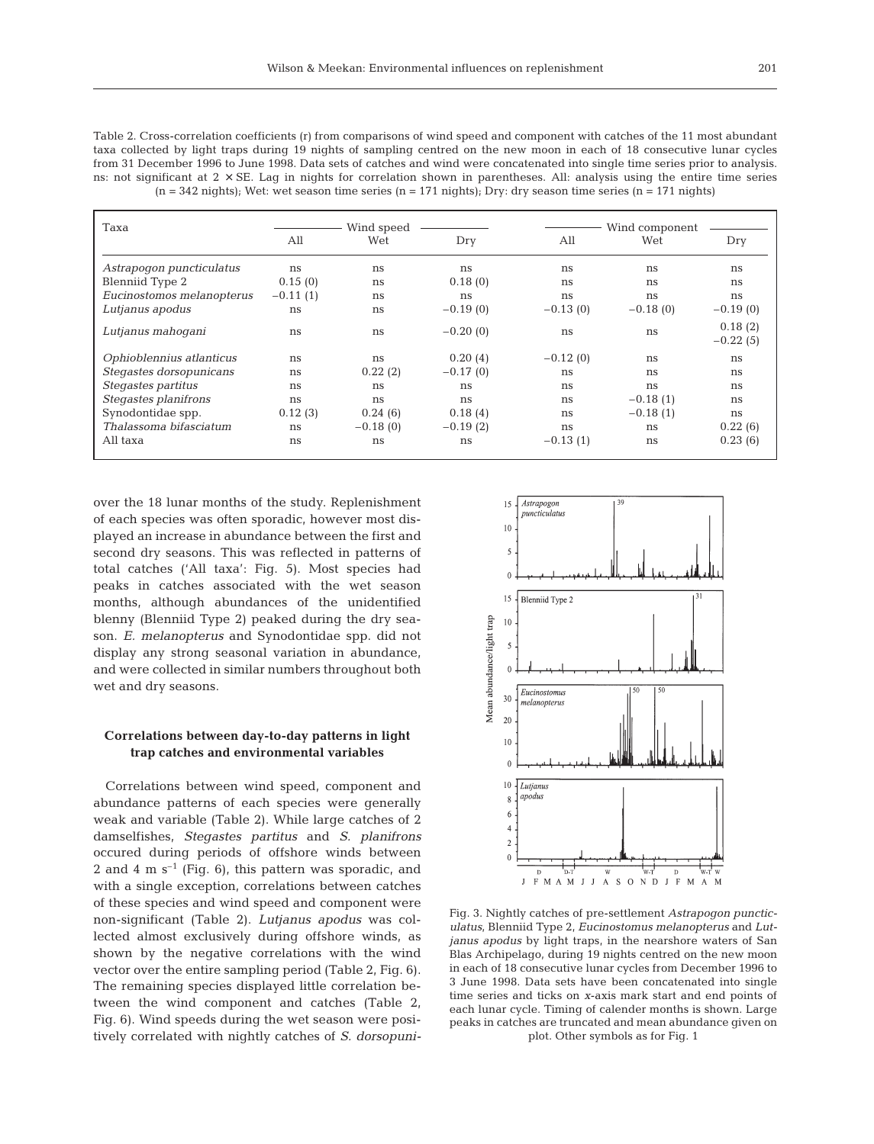Table 2. Cross-correlation coefficients (r) from comparisons of wind speed and component with catches of the 11 most abundant taxa collected by light traps during 19 nights of sampling centred on the new moon in each of 18 consecutive lunar cycles from 31 December 1996 to June 1998. Data sets of catches and wind were concatenated into single time series prior to analysis. ns: not significant at  $2 \times SE$ . Lag in nights for correlation shown in parentheses. All: analysis using the entire time series  $(n = 342 \text{ nights})$ ; Wet: wet season time series  $(n = 171 \text{ nights})$ ; Dry: dry season time series  $(n = 171 \text{ nights})$ 

| Taxa                      |            | Wind speed |            | Wind component |            |                       |  |
|---------------------------|------------|------------|------------|----------------|------------|-----------------------|--|
|                           | All        | Wet        | Dry        | All            | Wet        | Dry                   |  |
| Astrapogon puncticulatus  | ns         | ns         | ns         | ns             | ns         | ns                    |  |
| Blenniid Type 2           | 0.15(0)    | ns         | 0.18(0)    | ns             | ns         | ns                    |  |
| Eucinostomos melanopterus | $-0.11(1)$ | ns         | ns         | ns             | ns         | ns                    |  |
| Lutjanus apodus           | ns         | ns         | $-0.19(0)$ | $-0.13(0)$     | $-0.18(0)$ | $-0.19(0)$            |  |
| Lutjanus mahogani         | ns         | ns         | $-0.20(0)$ | ns             | ns         | 0.18(2)<br>$-0.22(5)$ |  |
| Ophioblennius atlanticus  | ns         | ns         | 0.20(4)    | $-0.12(0)$     | ns         | ns                    |  |
| Stegastes dorsopunicans   | ns         | 0.22(2)    | $-0.17(0)$ | ns             | ns         | ns                    |  |
| Stegastes partitus        | ns         | ns         | ns         | ns             | ns         | ns                    |  |
| Stegastes planifrons      | ns         | ns         | ns         | ns             | $-0.18(1)$ | ns                    |  |
| Synodontidae spp.         | 0.12(3)    | 0.24(6)    | 0.18(4)    | ns             | $-0.18(1)$ | ns                    |  |
| Thalassoma bifasciatum    | ns         | $-0.18(0)$ | $-0.19(2)$ | ns             | ns         | 0.22(6)               |  |
| All taxa                  | ns         | ns         | ns         | $-0.13(1)$     | ns         | 0.23(6)               |  |

over the 18 lunar months of the study. Replenishment of each species was often sporadic, however most displayed an increase in abundance between the first and second dry seasons. This was reflected in patterns of total catches ('All taxa': Fig. 5). Most species had peaks in catches associated with the wet season months, although abundances of the unidentified blenny (Blenniid Type 2) peaked during the dry season. *E. melanopterus* and Synodontidae spp. did not display any strong seasonal variation in abundance, and were collected in similar numbers throughout both wet and dry seasons.

### **Correlations between day-to-day patterns in light trap catches and environmental variables**

Correlations between wind speed, component and abundance patterns of each species were generally weak and variable (Table 2). While large catches of 2 damselfishes, *Stegastes partitus* and *S. planifrons* occured during periods of offshore winds between 2 and 4 m  $s^{-1}$  (Fig. 6), this pattern was sporadic, and with a single exception, correlations between catches of these species and wind speed and component were non-significant (Table 2). *Lutjanus apodus* was collected almost exclusively during offshore winds, as shown by the negative correlations with the wind vector over the entire sampling period (Table 2, Fig. 6). The remaining species displayed little correlation between the wind component and catches (Table 2, Fig. 6). Wind speeds during the wet season were positively correlated with nightly catches of *S. dorsopuni-*



Fig. 3. Nightly catches of pre-settlement *Astrapogon puncticulatus,* Blenniid Type 2, *Eucinostomus melanopterus* and *Lutjanus apodus* by light traps, in the nearshore waters of San Blas Archipelago, during 19 nights centred on the new moon in each of 18 consecutive lunar cycles from December 1996 to 3 June 1998. Data sets have been concatenated into single time series and ticks on *x*-axis mark start and end points of each lunar cycle. Timing of calender months is shown. Large peaks in catches are truncated and mean abundance given on plot. Other symbols as for Fig. 1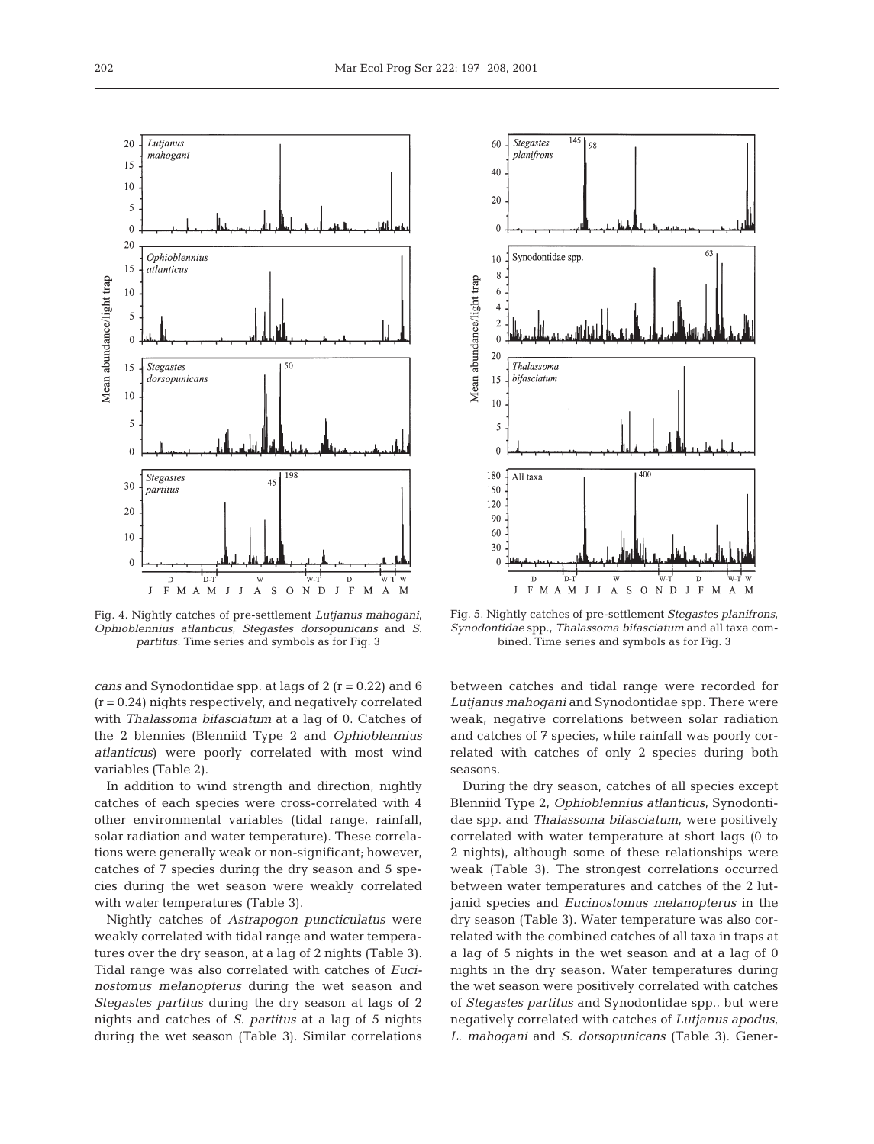

Fig. 4. Nightly catches of pre-settlement *Lutjanus mahogani*, *Ophioblennius atlanticus, Stegastes dorsopunicans* and *S. partitus.* Time series and symbols as for Fig. 3

*cans* and Synodontidae spp. at lags of 2 (r = 0.22) and 6  $(r = 0.24)$  nights respectively, and negatively correlated with *Thalassoma bifasciatum* at a lag of 0. Catches of the 2 blennies (Blenniid Type 2 and *Ophioblennius atlanticus*) were poorly correlated with most wind variables (Table 2).

In addition to wind strength and direction, nightly catches of each species were cross-correlated with 4 other environmental variables (tidal range, rainfall, solar radiation and water temperature). These correlations were generally weak or non-significant; however, catches of 7 species during the dry season and 5 species during the wet season were weakly correlated with water temperatures (Table 3).

Nightly catches of *Astrapogon puncticulatus* were weakly correlated with tidal range and water temperatures over the dry season, at a lag of 2 nights (Table 3). Tidal range was also correlated with catches of *Eucinostomus melanopterus* during the wet season and *Stegastes partitus* during the dry season at lags of 2 nights and catches of *S. partitus* at a lag of 5 nights during the wet season (Table 3). Similar correlations



Fig. 5. Nightly catches of pre-settlement *Stegastes planifrons, Synodontidae* spp., *Thalassoma bifasciatum* and all taxa combined. Time series and symbols as for Fig. 3

between catches and tidal range were recorded for *Lutjanus mahogani* and Synodontidae spp. There were weak, negative correlations between solar radiation and catches of 7 species, while rainfall was poorly correlated with catches of only 2 species during both seasons.

During the dry season, catches of all species except Blenniid Type 2, *Ophioblennius atlanticus*, Synodontidae spp. and *Thalassoma bifasciatum*, were positively correlated with water temperature at short lags (0 to 2 nights), although some of these relationships were weak (Table 3). The strongest correlations occurred between water temperatures and catches of the 2 lutjanid species and *Eucinostomus melanopterus* in the dry season (Table 3). Water temperature was also correlated with the combined catches of all taxa in traps at a lag of 5 nights in the wet season and at a lag of 0 nights in the dry season. Water temperatures during the wet season were positively correlated with catches of *Stegastes partitus* and Synodontidae spp., but were negatively correlated with catches of *Lutjanus apodus*, *L. mahogani* and *S. dorsopunicans* (Table 3). Gener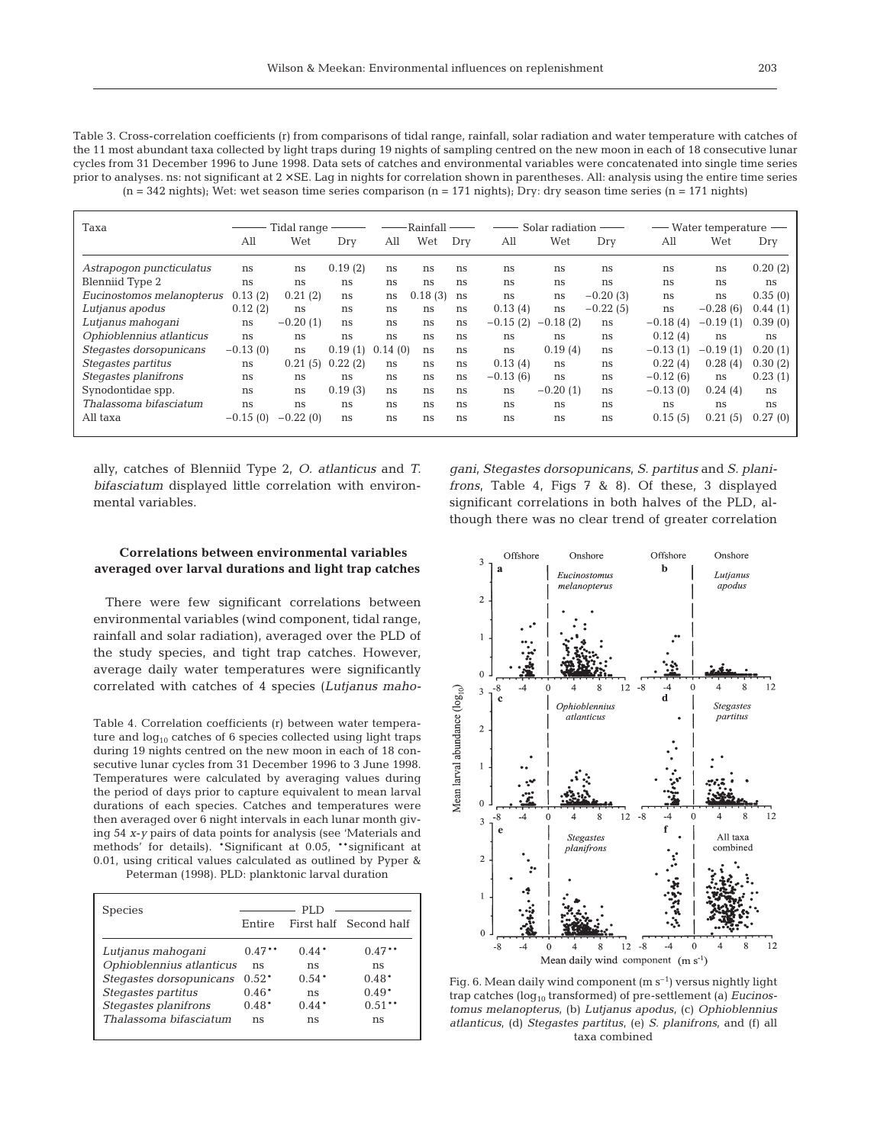Table 3. Cross-correlation coefficients (r) from comparisons of tidal range, rainfall, solar radiation and water temperature with catches of the 11 most abundant taxa collected by light traps during 19 nights of sampling centred on the new moon in each of 18 consecutive lunar cycles from 31 December 1996 to June 1998. Data sets of catches and environmental variables were concatenated into single time series prior to analyses. ns: not significant at  $2 \times SE$ . Lag in nights for correlation shown in parentheses. All: analysis using the entire time series  $(n = 342 \text{ nights})$ ; Wet: wet season time series comparison  $(n = 171 \text{ nights})$ ; Dry: dry season time series  $(n = 171 \text{ nights})$ 

| Taxa                      | Tidal range |            |         | Rainfall |         |     | Solar radiation |            | Water temperature |               |            |         |
|---------------------------|-------------|------------|---------|----------|---------|-----|-----------------|------------|-------------------|---------------|------------|---------|
|                           | All         | Wet        | Dry     | All      | Wet     | Dry | All             | Wet        | Dry               | All           | Wet        | Dry     |
| Astrapogon puncticulatus  | ns          | ns         | 0.19(2) | ns       | ns      | ns  | ns              | ns         | ns                | ns            | ns         | 0.20(2) |
| Blenniid Type 2           | ns          | ns         | ns      | ns       | ns      | ns  | ns              | ns         | ns                | ns            | ns         | ns      |
| Eucinostomos melanopterus | 0.13(2)     | 0.21(2)    | ns      | ns       | 0.18(3) | ns  | ns              | ns         | $-0.20(3)$        | ns            | ns         | 0.35(0) |
| Lutjanus apodus           | 0.12(2)     | ns         | ns      | ns       | ns      | ns  | 0.13(4)         | ns         | $-0.22(5)$        | ns            | $-0.28(6)$ | 0.44(1) |
| Lutjanus mahogani         | ns          | $-0.20(1)$ | ns      | ns       | ns      | ns  | $-0.15(2)$      | $-0.18(2)$ | ns                | $-0.18(4)$    | $-0.19(1)$ | 0.39(0) |
| Ophioblennius atlanticus  | ns          | ns         | ns      | ns       | ns      | ns  | ns              | ns         | ns                | 0.12(4)       | ns         | ns      |
| Stegastes dorsopunicans   | $-0.13(0)$  | ns         | 0.19(1) | 0.14(0)  | ns      | ns  | ns              | 0.19(4)    | ns                | $-0.13(1)$    | $-0.19(1)$ | 0.20(1) |
| Stegastes partitus        | ns          | 0.21(5)    | 0.22(2) | ns       | ns      | ns  | 0.13(4)         | ns         | ns                | 0.22(4)       | 0.28(4)    | 0.30(2) |
| Stegastes planifrons      | ns          | ns         | ns      | ns       | ns      | ns  | $-0.13(6)$      | ns         | ns                | $-0.12(6)$    | ns         | 0.23(1) |
| Synodontidae spp.         | ns          | ns         | 0.19(3) | ns       | ns      | ns  | ns              | $-0.20(1)$ | ns                | $-0.13(0)$    | 0.24(4)    | ns      |
| Thalassoma bifasciatum    | ns          | ns         | ns      | ns       | ns      | ns  | ns              | ns         | ns                | <sub>ns</sub> | ns         | ns      |
| All taxa                  | $-0.15(0)$  | $-0.22(0)$ | ns      | ns       | ns      | ns  | ns              | ns         | ns                | 0.15(5)       | 0.21(5)    | 0.27(0) |

ally, catches of Blenniid Type 2, *O. atlanticus* and *T. bifasciatum* displayed little correlation with environmental variables.

*gani*, *Stegastes dorsopunicans*, *S. partitus* and *S. planifrons*, Table 4, Figs 7 & 8). Of these, 3 displayed significant correlations in both halves of the PLD, although there was no clear trend of greater correlation

# **Correlations between environmental variables averaged over larval durations and light trap catches**

There were few significant correlations between environmental variables (wind component, tidal range, rainfall and solar radiation), averaged over the PLD of the study species, and tight trap catches. However, average daily water temperatures were significantly correlated with catches of 4 species (*Lutjanus maho-*

Table 4. Correlation coefficients (r) between water temperature and  $log_{10}$  catches of 6 species collected using light traps during 19 nights centred on the new moon in each of 18 consecutive lunar cycles from 31 December 1996 to 3 June 1998. Temperatures were calculated by averaging values during the period of days prior to capture equivalent to mean larval durations of each species. Catches and temperatures were then averaged over 6 night intervals in each lunar month giving 54 *x*-*y* pairs of data points for analysis (see 'Materials and methods' for details). \*Significant at 0.05, \*\*significant at 0.01, using critical values calculated as outlined by Pyper & Peterman (1998). PLD: planktonic larval duration

| <b>Species</b>           | PLI.     |         |                        |  |  |  |
|--------------------------|----------|---------|------------------------|--|--|--|
|                          | Entire   |         | First half Second half |  |  |  |
| Lutjanus mahogani        | $0.47**$ | $0.44*$ | $0.47**$               |  |  |  |
| Ophioblennius atlanticus | ns       | ns      | ns                     |  |  |  |
| Stegastes dorsopunicans  | $0.52*$  | $0.54*$ | $0.48*$                |  |  |  |
| Stegastes partitus       | $0.46*$  | ns      | $0.49*$                |  |  |  |
| Stegastes planifrons     | $0.48*$  | $0.44*$ | $0.51**$               |  |  |  |
| Thalassoma bifasciatum   | ns       | ns      | ns                     |  |  |  |
|                          |          |         |                        |  |  |  |



Fig. 6. Mean daily wind component  $(m s<sup>-1</sup>)$  versus nightly light trap catches (log10 transformed) of pre-settlement (a) *Eucinostomus melanopterus*, (b) *Lutjanus apodus*, (c) *Ophioblennius atlanticus*, (d) *Stegastes partitus*, (e) *S. planifrons*, and (f) all taxa combined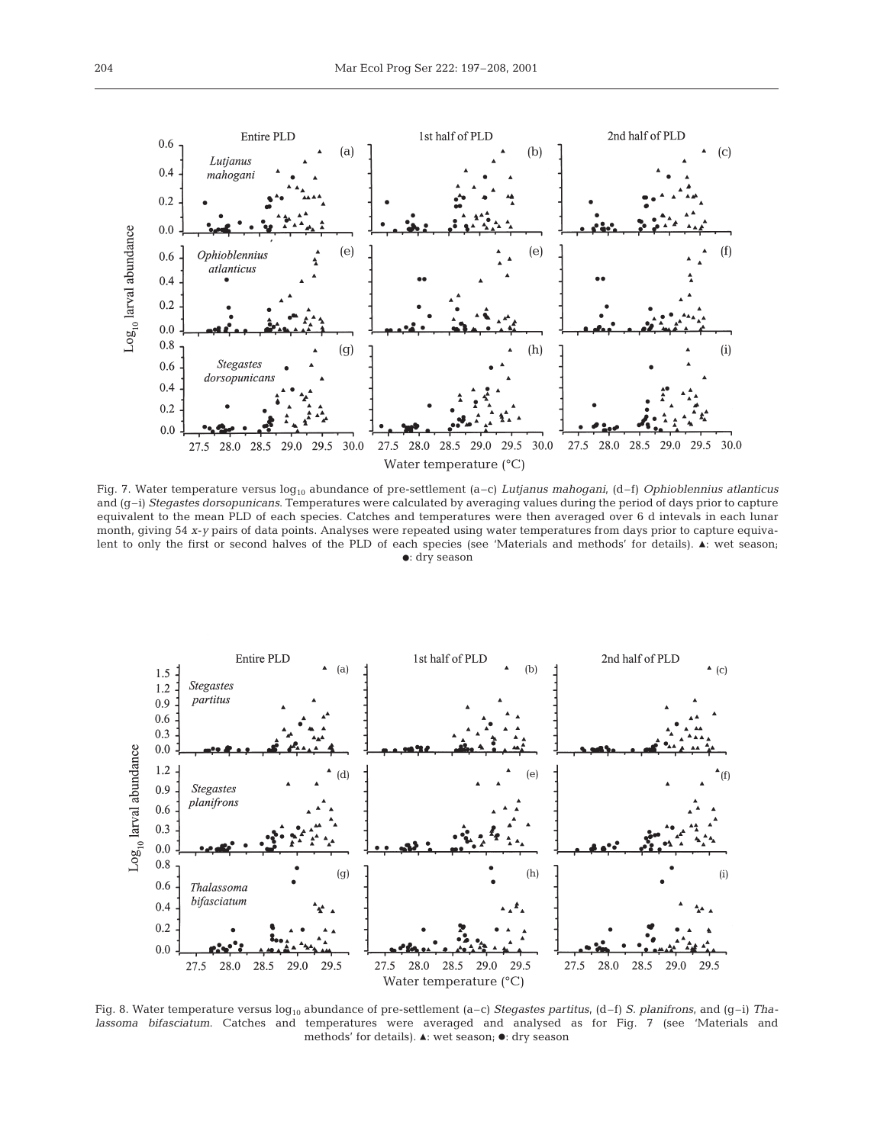

Fig. 7. Water temperature versus log<sub>10</sub> abundance of pre-settlement (a-c) *Lutjanus mahogani*, (d-f) *Ophioblennius atlanticus* and (g–i) *Stegastes dorsopunicans*. Temperatures were calculated by averaging values during the period of days prior to capture equivalent to the mean PLD of each species. Catches and temperatures were then averaged over 6 d intevals in each lunar month, giving 54 *x*-*y* pairs of data points. Analyses were repeated using water temperatures from days prior to capture equivalent to only the first or second halves of the PLD of each species (see 'Materials and methods' for details).  $\blacktriangle$ : wet season; d: dry season



Fig. 8. Water temperature versus  $\log_{10}$  abundance of pre-settlement (a-c) *Stegastes partitus*, (d-f) *S. planifrons*, and (g-i) *Thalassoma bifasciatum*. Catches and temperatures were averaged and analysed as for Fig. 7 (see 'Materials and methods' for details).  $\blacktriangle$ : wet season;  $\blacklozenge$ : dry season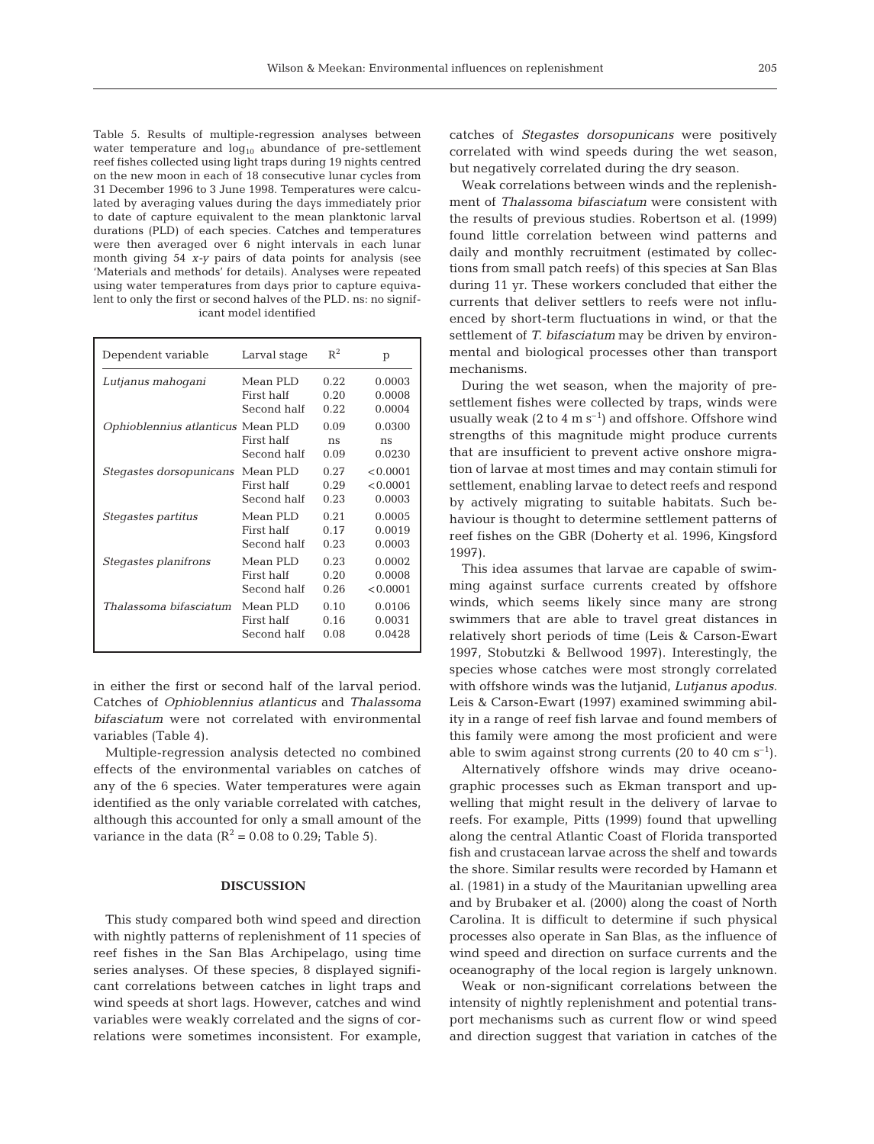Table 5. Results of multiple-regression analyses between water temperature and  $log_{10}$  abundance of pre-settlement reef fishes collected using light traps during 19 nights centred on the new moon in each of 18 consecutive lunar cycles from 31 December 1996 to 3 June 1998. Temperatures were calculated by averaging values during the days immediately prior to date of capture equivalent to the mean planktonic larval durations (PLD) of each species. Catches and temperatures were then averaged over 6 night intervals in each lunar month giving 54 *x*-*y* pairs of data points for analysis (see 'Materials and methods' for details). Analyses were repeated using water temperatures from days prior to capture equivalent to only the first or second halves of the PLD. ns: no significant model identified

| Dependent variable                       | Larval stage              | $R^2$              | p                      |
|------------------------------------------|---------------------------|--------------------|------------------------|
| Lutjanus mahoqani                        | Mean PLD                  | 0.22.              | 0.0003                 |
|                                          | First half                | 0.20               | 0.0008                 |
|                                          | Second half               | 0.22               | 0.0004                 |
| <i>Ophioblennius atlanticus</i> Mean PLD | First half<br>Second half | 0.09<br>ns<br>0.09 | 0.0300<br>ns<br>0.0230 |
| Stegastes dorsopunicans                  | Mean PLD                  | 0.27               | < 0.0001               |
|                                          | First half                | 0.29               | < 0.0001               |
|                                          | Second half               | 0.23               | 0.0003                 |
| Stegastes partitus                       | Mean PLD                  | 0.21               | 0.0005                 |
|                                          | First half                | 0.17               | 0.0019                 |
|                                          | Second half               | 0.23               | 0.0003                 |
| <i>Stegastes planifrons</i>              | Mean PLD                  | 0.23               | 0.0002                 |
|                                          | First half                | 0.20               | 0.0008                 |
|                                          | Second half               | 0.26               | < 0.0001               |
| Thalassoma bifasciatum                   | Mean PLD                  | 0.10               | 0.0106                 |
|                                          | First half                | 0.16               | 0.0031                 |
|                                          | Second half               | 0.08               | 0.0428                 |

in either the first or second half of the larval period. Catches of *Ophioblennius atlanticus* and *Thalassoma bifasciatum* were not correlated with environmental variables (Table 4).

Multiple-regression analysis detected no combined effects of the environmental variables on catches of any of the 6 species. Water temperatures were again identified as the only variable correlated with catches, although this accounted for only a small amount of the variance in the data ( $R^2$  = 0.08 to 0.29; Table 5).

### **DISCUSSION**

This study compared both wind speed and direction with nightly patterns of replenishment of 11 species of reef fishes in the San Blas Archipelago, using time series analyses. Of these species, 8 displayed significant correlations between catches in light traps and wind speeds at short lags. However, catches and wind variables were weakly correlated and the signs of correlations were sometimes inconsistent. For example, catches of *Stegastes dorsopunicans* were positively correlated with wind speeds during the wet season, but negatively correlated during the dry season.

Weak correlations between winds and the replenishment of *Thalassoma bifasciatum* were consistent with the results of previous studies. Robertson et al. (1999) found little correlation between wind patterns and daily and monthly recruitment (estimated by collections from small patch reefs) of this species at San Blas during 11 yr. These workers concluded that either the currents that deliver settlers to reefs were not influenced by short-term fluctuations in wind, or that the settlement of *T. bifasciatum* may be driven by environmental and biological processes other than transport mechanisms.

During the wet season, when the majority of presettlement fishes were collected by traps, winds were usually weak (2 to 4  $\text{m s}^{-1}$ ) and offshore. Offshore wind strengths of this magnitude might produce currents that are insufficient to prevent active onshore migration of larvae at most times and may contain stimuli for settlement, enabling larvae to detect reefs and respond by actively migrating to suitable habitats. Such behaviour is thought to determine settlement patterns of reef fishes on the GBR (Doherty et al. 1996, Kingsford 1997).

This idea assumes that larvae are capable of swimming against surface currents created by offshore winds, which seems likely since many are strong swimmers that are able to travel great distances in relatively short periods of time (Leis & Carson-Ewart 1997, Stobutzki & Bellwood 1997). Interestingly, the species whose catches were most strongly correlated with offshore winds was the lutjanid, *Lutjanus apodus.* Leis & Carson-Ewart (1997) examined swimming ability in a range of reef fish larvae and found members of this family were among the most proficient and were able to swim against strong currents (20 to 40 cm  $s^{-1}$ ).

Alternatively offshore winds may drive oceanographic processes such as Ekman transport and upwelling that might result in the delivery of larvae to reefs. For example, Pitts (1999) found that upwelling along the central Atlantic Coast of Florida transported fish and crustacean larvae across the shelf and towards the shore. Similar results were recorded by Hamann et al. (1981) in a study of the Mauritanian upwelling area and by Brubaker et al. (2000) along the coast of North Carolina. It is difficult to determine if such physical processes also operate in San Blas, as the influence of wind speed and direction on surface currents and the oceanography of the local region is largely unknown.

Weak or non-significant correlations between the intensity of nightly replenishment and potential transport mechanisms such as current flow or wind speed and direction suggest that variation in catches of the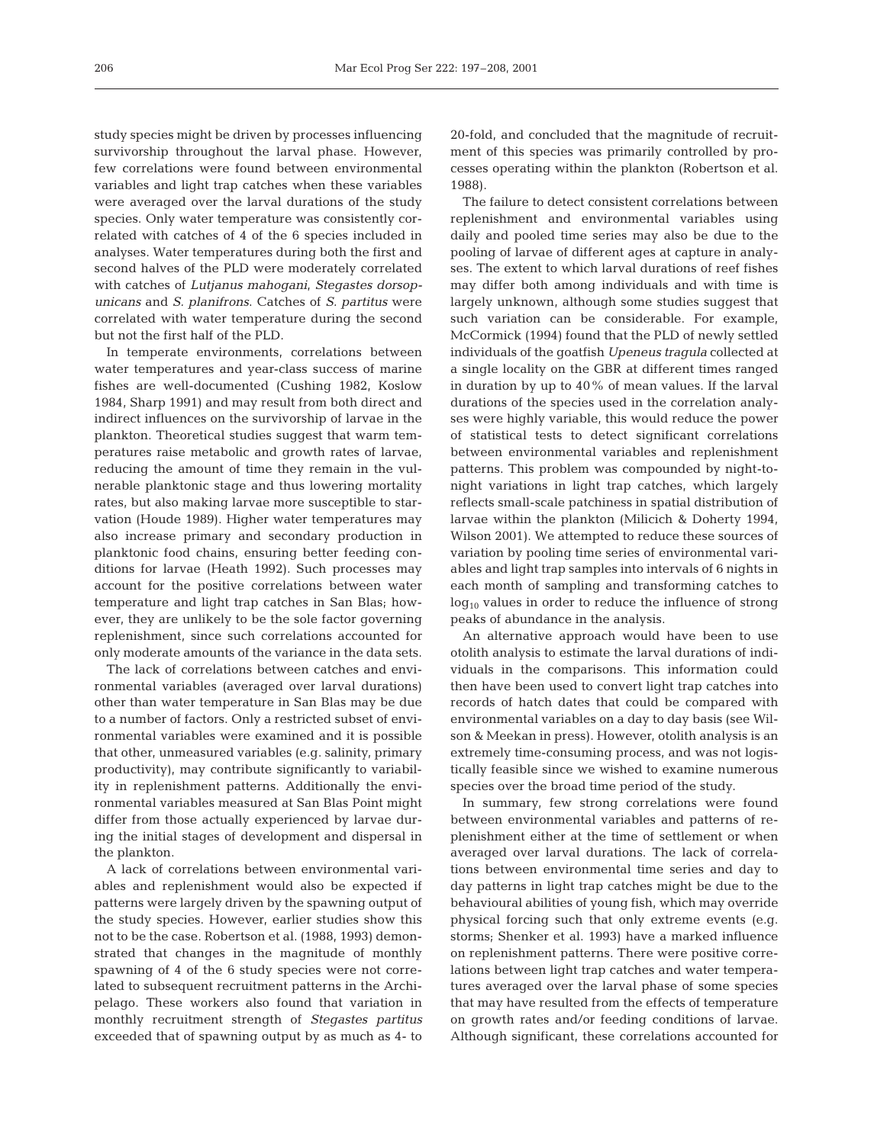study species might be driven by processes influencing survivorship throughout the larval phase. However, few correlations were found between environmental variables and light trap catches when these variables were averaged over the larval durations of the study species. Only water temperature was consistently correlated with catches of 4 of the 6 species included in analyses. Water temperatures during both the first and second halves of the PLD were moderately correlated with catches of *Lutjanus mahogani*, *Stegastes dorsopunicans* and *S. planifrons*. Catches of *S. partitus* were correlated with water temperature during the second but not the first half of the PLD.

In temperate environments, correlations between water temperatures and year-class success of marine fishes are well-documented (Cushing 1982, Koslow 1984, Sharp 1991) and may result from both direct and indirect influences on the survivorship of larvae in the plankton. Theoretical studies suggest that warm temperatures raise metabolic and growth rates of larvae, reducing the amount of time they remain in the vulnerable planktonic stage and thus lowering mortality rates, but also making larvae more susceptible to starvation (Houde 1989). Higher water temperatures may also increase primary and secondary production in planktonic food chains, ensuring better feeding conditions for larvae (Heath 1992). Such processes may account for the positive correlations between water temperature and light trap catches in San Blas; however, they are unlikely to be the sole factor governing replenishment, since such correlations accounted for only moderate amounts of the variance in the data sets.

The lack of correlations between catches and environmental variables (averaged over larval durations) other than water temperature in San Blas may be due to a number of factors. Only a restricted subset of environmental variables were examined and it is possible that other, unmeasured variables (e.g. salinity, primary productivity), may contribute significantly to variability in replenishment patterns. Additionally the environmental variables measured at San Blas Point might differ from those actually experienced by larvae during the initial stages of development and dispersal in the plankton.

A lack of correlations between environmental variables and replenishment would also be expected if patterns were largely driven by the spawning output of the study species. However, earlier studies show this not to be the case. Robertson et al. (1988, 1993) demonstrated that changes in the magnitude of monthly spawning of 4 of the 6 study species were not correlated to subsequent recruitment patterns in the Archipelago. These workers also found that variation in monthly recruitment strength of *Stegastes partitus* exceeded that of spawning output by as much as 4- to

20-fold, and concluded that the magnitude of recruitment of this species was primarily controlled by processes operating within the plankton (Robertson et al. 1988).

The failure to detect consistent correlations between replenishment and environmental variables using daily and pooled time series may also be due to the pooling of larvae of different ages at capture in analyses. The extent to which larval durations of reef fishes may differ both among individuals and with time is largely unknown, although some studies suggest that such variation can be considerable. For example, McCormick (1994) found that the PLD of newly settled individuals of the goatfish *Upeneus tragula* collected at a single locality on the GBR at different times ranged in duration by up to 40% of mean values. If the larval durations of the species used in the correlation analyses were highly variable, this would reduce the power of statistical tests to detect significant correlations between environmental variables and replenishment patterns. This problem was compounded by night-tonight variations in light trap catches, which largely reflects small-scale patchiness in spatial distribution of larvae within the plankton (Milicich & Doherty 1994, Wilson 2001). We attempted to reduce these sources of variation by pooling time series of environmental variables and light trap samples into intervals of 6 nights in each month of sampling and transforming catches to  $log_{10}$  values in order to reduce the influence of strong peaks of abundance in the analysis.

An alternative approach would have been to use otolith analysis to estimate the larval durations of individuals in the comparisons. This information could then have been used to convert light trap catches into records of hatch dates that could be compared with environmental variables on a day to day basis (see Wilson & Meekan in press). However, otolith analysis is an extremely time-consuming process, and was not logistically feasible since we wished to examine numerous species over the broad time period of the study.

In summary, few strong correlations were found between environmental variables and patterns of replenishment either at the time of settlement or when averaged over larval durations. The lack of correlations between environmental time series and day to day patterns in light trap catches might be due to the behavioural abilities of young fish, which may override physical forcing such that only extreme events (e.g. storms; Shenker et al. 1993) have a marked influence on replenishment patterns. There were positive correlations between light trap catches and water temperatures averaged over the larval phase of some species that may have resulted from the effects of temperature on growth rates and/or feeding conditions of larvae. Although significant, these correlations accounted for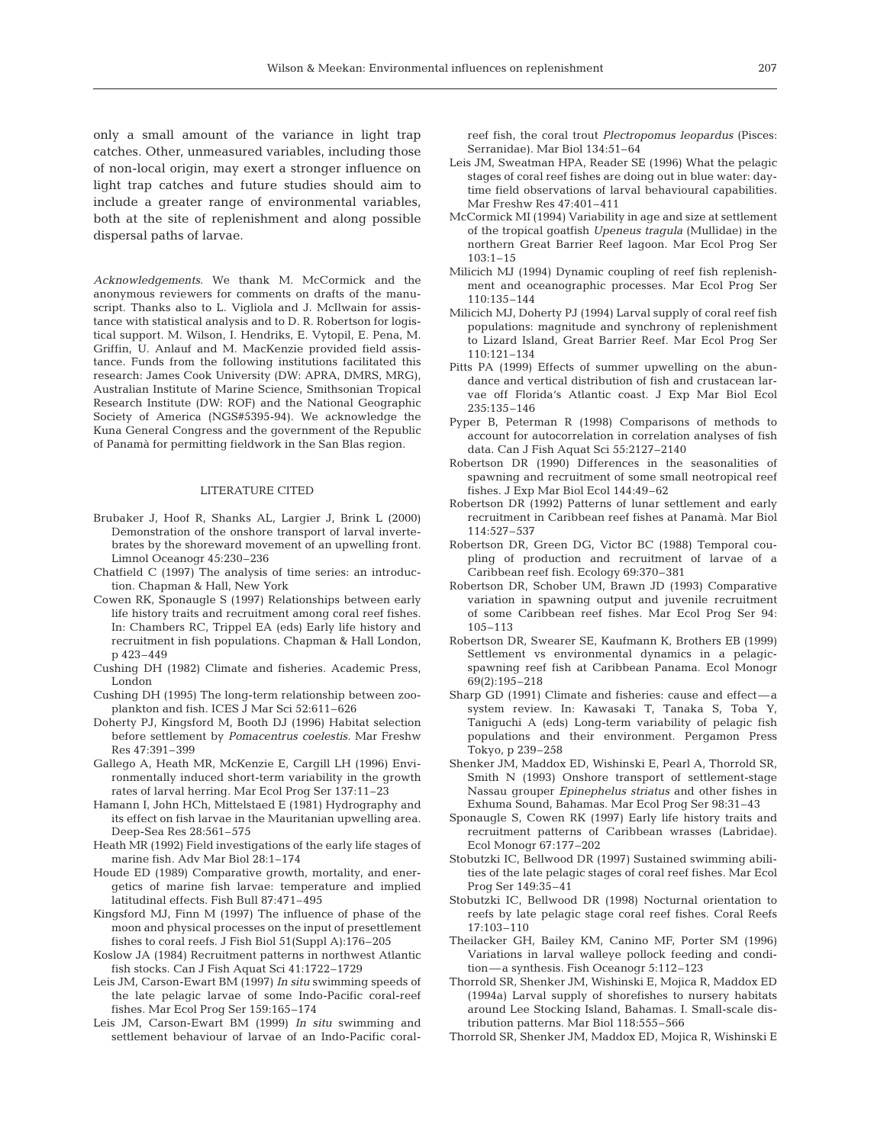only a small amount of the variance in light trap catches. Other, unmeasured variables, including those of non-local origin, may exert a stronger influence on light trap catches and future studies should aim to include a greater range of environmental variables, both at the site of replenishment and along possible dispersal paths of larvae.

*Acknowledgements*. We thank M. McCormick and the anonymous reviewers for comments on drafts of the manuscript. Thanks also to L. Vigliola and J. McIlwain for assistance with statistical analysis and to D. R. Robertson for logistical support. M. Wilson, I. Hendriks, E. Vytopil, E. Pena, M. Griffin, U. Anlauf and M. MacKenzie provided field assistance. Funds from the following institutions facilitated this research: James Cook University (DW: APRA, DMRS, MRG), Australian Institute of Marine Science, Smithsonian Tropical Research Institute (DW: ROF) and the National Geographic Society of America (NGS#5395-94). We acknowledge the Kuna General Congress and the government of the Republic of Panamà for permitting fieldwork in the San Blas region.

### LITERATURE CITED

- Brubaker J, Hoof R, Shanks AL, Largier J, Brink L (2000) Demonstration of the onshore transport of larval invertebrates by the shoreward movement of an upwelling front. Limnol Oceanogr 45:230–236
- Chatfield C (1997) The analysis of time series: an introduction. Chapman & Hall, New York
- Cowen RK, Sponaugle S (1997) Relationships between early life history traits and recruitment among coral reef fishes. In: Chambers RC, Trippel EA (eds) Early life history and recruitment in fish populations. Chapman & Hall London, p 423–449
- Cushing DH (1982) Climate and fisheries. Academic Press, London
- Cushing DH (1995) The long-term relationship between zooplankton and fish. ICES J Mar Sci 52:611–626
- Doherty PJ, Kingsford M, Booth DJ (1996) Habitat selection before settlement by *Pomacentrus coelestis*. Mar Freshw Res 47:391–399
- Gallego A, Heath MR, McKenzie E, Cargill LH (1996) Environmentally induced short-term variability in the growth rates of larval herring. Mar Ecol Prog Ser 137:11–23
- Hamann I, John HCh, Mittelstaed E (1981) Hydrography and its effect on fish larvae in the Mauritanian upwelling area. Deep-Sea Res 28:561–575
- Heath MR (1992) Field investigations of the early life stages of marine fish. Adv Mar Biol 28:1–174
- Houde ED (1989) Comparative growth, mortality, and energetics of marine fish larvae: temperature and implied latitudinal effects. Fish Bull 87:471–495
- Kingsford MJ, Finn M (1997) The influence of phase of the moon and physical processes on the input of presettlement fishes to coral reefs. J Fish Biol 51(Suppl A):176–205
- Koslow JA (1984) Recruitment patterns in northwest Atlantic fish stocks. Can J Fish Aquat Sci 41:1722–1729
- Leis JM, Carson-Ewart BM (1997) *In situ* swimming speeds of the late pelagic larvae of some Indo-Pacific coral-reef fishes. Mar Ecol Prog Ser 159:165–174
- Leis JM, Carson-Ewart BM (1999) *In situ* swimming and settlement behaviour of larvae of an Indo-Pacific coral-

reef fish, the coral trout *Plectropomus leopardus* (Pisces: Serranidae). Mar Biol 134:51–64

- Leis JM, Sweatman HPA, Reader SE (1996) What the pelagic stages of coral reef fishes are doing out in blue water: daytime field observations of larval behavioural capabilities. Mar Freshw Res 47:401–411
- McCormick MI (1994) Variability in age and size at settlement of the tropical goatfish *Upeneus tragula* (Mullidae) in the northern Great Barrier Reef lagoon. Mar Ecol Prog Ser 103:1–15
- Milicich MJ (1994) Dynamic coupling of reef fish replenishment and oceanographic processes. Mar Ecol Prog Ser 110:135–144
- Milicich MJ, Doherty PJ (1994) Larval supply of coral reef fish populations: magnitude and synchrony of replenishment to Lizard Island, Great Barrier Reef. Mar Ecol Prog Ser 110:121–134
- Pitts PA (1999) Effects of summer upwelling on the abundance and vertical distribution of fish and crustacean larvae off Florida's Atlantic coast. J Exp Mar Biol Ecol 235:135–146
- Pyper B, Peterman R (1998) Comparisons of methods to account for autocorrelation in correlation analyses of fish data. Can J Fish Aquat Sci 55:2127–2140
- Robertson DR (1990) Differences in the seasonalities of spawning and recruitment of some small neotropical reef fishes. J Exp Mar Biol Ecol 144:49–62
- Robertson DR (1992) Patterns of lunar settlement and early recruitment in Caribbean reef fishes at Panamà. Mar Biol 114:527–537
- Robertson DR, Green DG, Victor BC (1988) Temporal coupling of production and recruitment of larvae of a Caribbean reef fish. Ecology 69:370–381
- Robertson DR, Schober UM, Brawn JD (1993) Comparative variation in spawning output and juvenile recruitment of some Caribbean reef fishes. Mar Ecol Prog Ser 94: 105–113
- Robertson DR, Swearer SE, Kaufmann K, Brothers EB (1999) Settlement vs environmental dynamics in a pelagicspawning reef fish at Caribbean Panama. Ecol Monogr 69(2):195–218
- Sharp GD (1991) Climate and fisheries: cause and effect—a system review. In: Kawasaki T, Tanaka S, Toba Y, Taniguchi A (eds) Long-term variability of pelagic fish populations and their environment. Pergamon Press Tokyo, p 239–258
- Shenker JM, Maddox ED, Wishinski E, Pearl A, Thorrold SR, Smith N (1993) Onshore transport of settlement-stage Nassau grouper *Epinephelus striatus* and other fishes in Exhuma Sound, Bahamas. Mar Ecol Prog Ser 98:31–43
- Sponaugle S, Cowen RK (1997) Early life history traits and recruitment patterns of Caribbean wrasses (Labridae). Ecol Monogr 67:177–202
- Stobutzki IC, Bellwood DR (1997) Sustained swimming abilities of the late pelagic stages of coral reef fishes. Mar Ecol Prog Ser 149:35–41
- Stobutzki IC, Bellwood DR (1998) Nocturnal orientation to reefs by late pelagic stage coral reef fishes. Coral Reefs 17:103–110
- Theilacker GH, Bailey KM, Canino MF, Porter SM (1996) Variations in larval walleye pollock feeding and condition—a synthesis. Fish Oceanogr 5:112–123
- Thorrold SR, Shenker JM, Wishinski E, Mojica R, Maddox ED (1994a) Larval supply of shorefishes to nursery habitats around Lee Stocking Island, Bahamas. I. Small-scale distribution patterns. Mar Biol 118:555–566
- Thorrold SR, Shenker JM, Maddox ED, Mojica R, Wishinski E